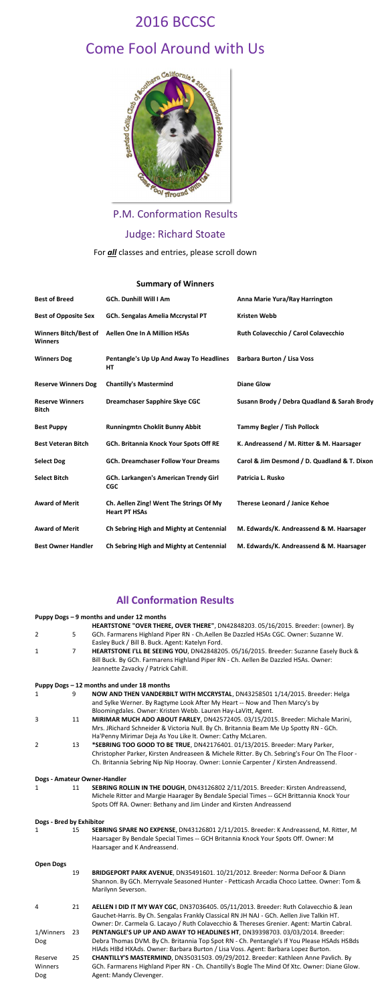# 2016 BCCSC



P.M. Conformation Results

Judge: Richard Stoate

For *all* classes and entries, please scroll down

### **Summary of Winners**

| <b>Best of Breed</b>                           | <b>GCh. Dunhill Will I Am</b>                                   | Anna Marie Yura/Ray Harrington               |
|------------------------------------------------|-----------------------------------------------------------------|----------------------------------------------|
| <b>Best of Opposite Sex</b>                    | GCh. Sengalas Amelia Mccrystal PT                               | <b>Kristen Webb</b>                          |
| <b>Winners Bitch/Best of</b><br><b>Winners</b> | <b>Aellen One In A Million HSAs</b>                             | <b>Ruth Colavecchio / Carol Colavecchio</b>  |
| <b>Winners Dog</b>                             | Pentangle's Up Up And Away To Headlines<br>HT                   | <b>Barbara Burton / Lisa Voss</b>            |
| <b>Reserve Winners Dog</b>                     | <b>Chantilly's Mastermind</b>                                   | <b>Diane Glow</b>                            |
| <b>Reserve Winners</b><br><b>Bitch</b>         | <b>Dreamchaser Sapphire Skye CGC</b>                            | Susann Brody / Debra Quadland & Sarah Brody  |
| <b>Best Puppy</b>                              | <b>Runningmtn Choklit Bunny Abbit</b>                           | <b>Tammy Begler / Tish Pollock</b>           |
| <b>Best Veteran Bitch</b>                      | GCh. Britannia Knock Your Spots Off RE                          | K. Andreassend / M. Ritter & M. Haarsager    |
| <b>Select Dog</b>                              | <b>GCh. Dreamchaser Follow Your Dreams</b>                      | Carol & Jim Desmond / D. Quadland & T. Dixon |
| <b>Select Bitch</b>                            | <b>GCh. Larkangen's American Trendy Girl</b><br><b>CGC</b>      | Patricia L. Rusko                            |
| <b>Award of Merit</b>                          | Ch. Aellen Zing! Went The Strings Of My<br><b>Heart PT HSAs</b> | <b>Therese Leonard / Janice Kehoe</b>        |
| <b>Award of Merit</b>                          | Ch Sebring High and Mighty at Centennial                        | M. Edwards/K. Andreassend & M. Haarsager     |
| <b>Best Owner Handler</b>                      | Ch Sebring High and Mighty at Centennial                        | M. Edwards/K. Andreassend & M. Haarsager     |

## **All Conformation Results**

#### **Puppy Dogs – 9 months and under 12 months**

- 2 5 **HEARTSTONE "OVER THERE, OVER THERE"**, DN42848203. 05/16/2015. Breeder: (owner). By GCh. Farmarens Highland Piper RN - Ch.Aellen Be Dazzled HSAs CGC. Owner: Suzanne W. Easley Buck / Bill B. Buck. Agent: Katelyn Ford.
- 1 7 **HEARTSTONE I'LL BE SEEING YOU**, DN42848205. 05/16/2015. Breeder: Suzanne Easely Buck & Bill Buck. By GCh. Farmarens Highland Piper RN - Ch. Aellen Be Dazzled HSAs. Owner: Jeannette Zavacky / Patrick Cahill.

#### **Puppy Dogs – 12 months and under 18 months**

- 1 9 **NOW AND THEN VANDERBILT WITH MCCRYSTAL**, DN43258501 1/14/2015. Breeder: Helga and Sylke Werner. By Ragtyme Look After My Heart -- Now and Then Marcy's by Bloomingdales. Owner: Kristen Webb. Lauren Hay-LaVitt, Agent.
- 3 11 **MIRIMAR MUCH ADO ABOUT FARLEY**, DN42572405. 03/15/2015. Breeder: Michale Marini, Mrs. JRichard Schneider & Victoria Null. By Ch. Britannia Beam Me Up Spotty RN - GCh. Ha'Penny Mirimar Deja As You Like It. Owner: Cathy McLaren.
- 2 13 **\*SEBRING TOO GOOD TO BE TRUE**, DN42176401. 01/13/2015. Breeder: Mary Parker, Christopher Parker, Kirsten Andreaseen & Michele Ritter. By Ch. Sebring's Four On The Floor - Ch. Britannia Sebring Nip Nip Hooray. Owner: Lonnie Carpenter / Kirsten Andreassend.

#### **Dogs - Amateur Owner-Handler**

1 11 **SEBRING ROLLIN IN THE DOUGH**, DN43126802 2/11/2015. Breeder: Kirsten Andreassend, Michele Ritter and Margie Haarager By Bendale Special Times -- GCH Brittannia Knock Your Spots Off RA. Owner: Bethany and Jim Linder and Kirsten Andreassend

#### **Dogs - Bred by Exhibitor**

1 15 **SEBRING SPARE NO EXPENSE**, DN43126801 2/11/2015. Breeder: K Andreassend, M. Ritter, M Haarsager By Bendale Special Times -- GCH Britannia Knock Your Spots Off. Owner: M Haarsager and K Andreassend.

#### **Open Dogs**

- 19 **BRIDGEPORT PARK AVENUE**, DN35491601. 10/21/2012. Breeder: Norma DeFoor & Diann Shannon. By GCh. Merryvale Seasoned Hunter - Petticash Arcadia Choco Lattee. Owner: Tom & Marilynn Severson.
- 4 21 **AELLEN I DID IT MY WAY CGC**, DN37036405. 05/11/2013. Breeder: Ruth Colavecchio & Jean Gauchet-Harris. By Ch. Sengalas Frankly Classical RN JH NAJ - GCh. Aellen Jive Talkin HT. Owner: Dr. Carmela G. Lacayo / Ruth Colavecchio & Thereses Grenier. Agent: Martin Cabral.
- 1/Winners Dog 23 **PENTANGLE'S UP UP AND AWAY TO HEADLINES HT**, DN39398703. 03/03/2014. Breeder: Debra Thomas DVM. By Ch. Britannia Top Spot RN - Ch. Pentangle's If You Please HSAds HSBds HIAds HIBd HXAds. Owner: Barbara Burton / Lisa Voss. Agent: Barbara Lopez Burton.
- Reserve Winners Dog 25 **CHANTILLY'S MASTERMIND**, DN35031503. 09/29/2012. Breeder: Kathleen Anne Pavlich. By GCh. Farmarens Highland Piper RN - Ch. Chantilly's Bogle The Mind Of Xtc. Owner: Diane Glow. Agent: Mandy Clevenger.